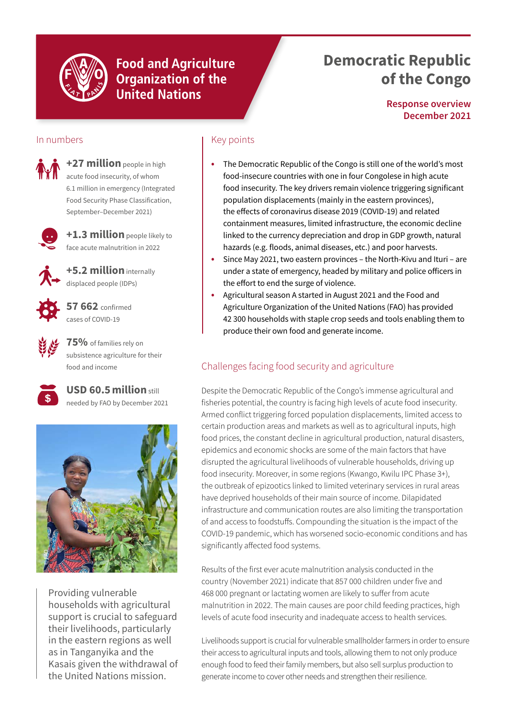

**Food and Agriculture Organization of the United Nations** 

# **Democratic Republic of the Congo**

**Response overview December 2021**

## In numbers

**+27 million** people in high acute food insecurity, of whom 6.1 million in emergency (Integrated Food Security Phase Classification, September–December 2021)



**+1.3 million** people likely to face acute malnutrition in 2022

**+5.2 million** internally displaced people (IDPs)



**57 662** confirmed cases of COVID-19

**75%** of families rely on subsistence agriculture for their food and income



**USD 60.5million** still needed by FAO by December 2021



Providing vulnerable households with agricultural support is crucial to safeguard their livelihoods, particularly in the eastern regions as well as in Tanganyika and the Kasais given the withdrawal of the United Nations mission.

## Key points

- **•** The Democratic Republic of the Congo is still one of the world's most food-insecure countries with one in four Congolese in high acute food insecurity. The key drivers remain violence triggering significant population displacements (mainly in the eastern provinces), the effects of coronavirus disease 2019 (COVID-19) and related containment measures, limited infrastructure, the economic decline linked to the currency depreciation and drop in GDP growth, natural hazards (e.g. floods, animal diseases, etc.) and poor harvests.
- **•** Since May 2021, two eastern provinces the North-Kivu and Ituri are under a state of emergency, headed by military and police officers in the effort to end the surge of violence.
- **•** Agricultural season A started in August 2021 and the Food and Agriculture Organization of the United Nations (FAO) has provided 42 300 households with staple crop seeds and tools enabling them to produce their own food and generate income.

# Challenges facing food security and agriculture

Despite the Democratic Republic of the Congo's immense agricultural and fisheries potential, the country is facing high levels of acute food insecurity. Armed conflict triggering forced population displacements, limited access to certain production areas and markets as well as to agricultural inputs, high food prices, the constant decline in agricultural production, natural disasters, epidemics and economic shocks are some of the main factors that have disrupted the agricultural livelihoods of vulnerable households, driving up food insecurity. Moreover, in some regions (Kwango, Kwilu IPC Phase 3+), the outbreak of epizootics linked to limited veterinary services in rural areas have deprived households of their main source of income. Dilapidated infrastructure and communication routes are also limiting the transportation of and access to foodstuffs. Compounding the situation is the impact of the COVID-19 pandemic, which has worsened socio-economic conditions and has significantly affected food systems.

Results of the first ever acute malnutrition analysis conducted in the country (November 2021) indicate that 857 000 children under five and 468 000 pregnant or lactating women are likely to suffer from acute malnutrition in 2022. The main causes are poor child feeding practices, high levels of acute food insecurity and inadequate access to health services.

Livelihoods support is crucial for vulnerable smallholder farmers in order to ensure their access to agricultural inputs and tools, allowing them to not only produce enough food to feed their family members, but also sell surplus production to generate income to cover other needs and strengthen their resilience.